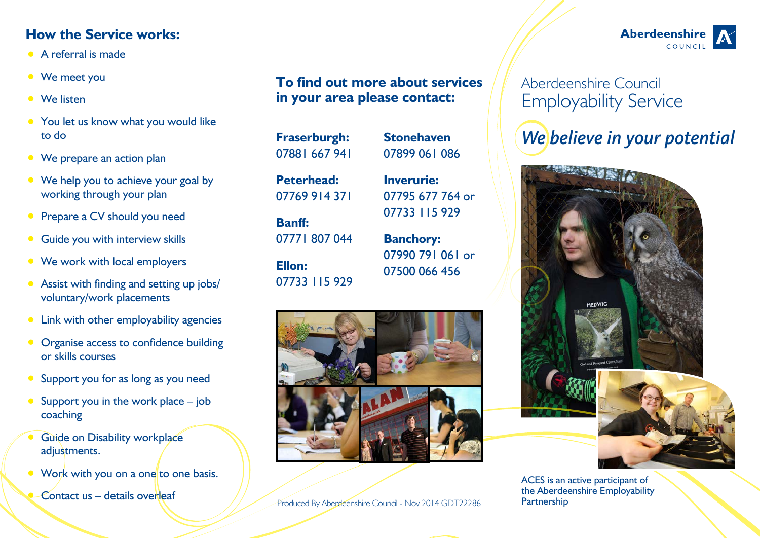## **How the Service works:**

- **•** A referral is made
- **•** We meet you
- **•** We listen
- **•** You let us know what you would like to do
- **•** We prepare an action plan
- We help you to achieve your goal by working through your plan
- **•** Prepare a CV should you need
- **•** Guide you with interview skills
- **•** We work with local employers
- **•** Assist with finding and setting up jobs/ voluntary/work placements
- **•** Link with other employability agencies
- **Organise access to confidence building** or skills courses
- **•** Support you for as long as you need
- Support you in the work place job coaching
- **Guide on Disability workplace** adiustments.
- Work with you on a one to one basis.
	- **Contact us details overleaf**

## **To find out more about services in your area please contact:**

Produced By Aberdeenshire Council - Nov 2014 GDT22286

## Aberdeenshire Council Employability Service

# *We believe in your potential*



#### ACES is an active participant of the Aberdeenshire Employability Partnership



07899 061 086 **Inverurie:** 07795 677 764 or

**Stonehaven**

07733 115 929 **Banchory:**

07990 791 061 or 07500 066 456